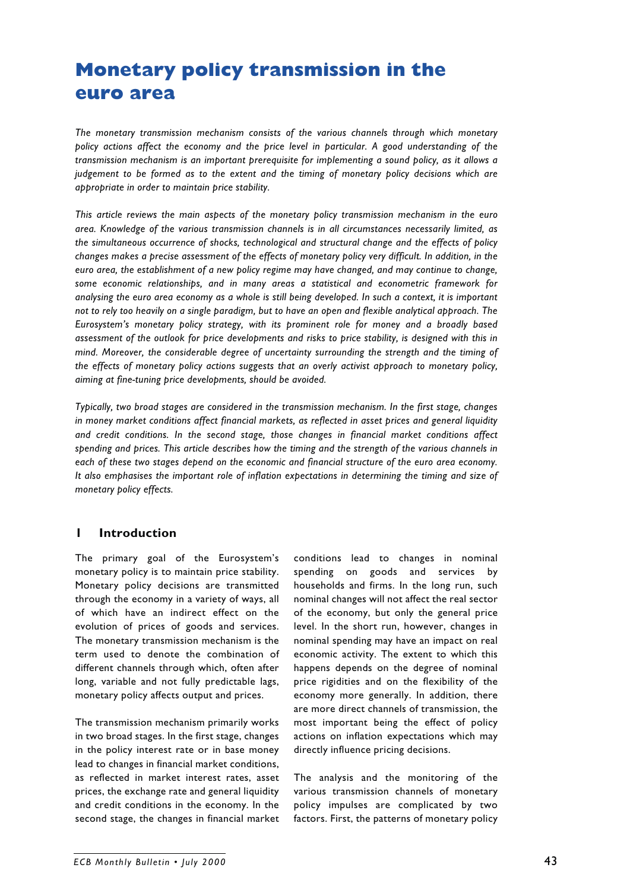# **Monetary policy transmission in the euro area**

*The monetary transmission mechanism consists of the various channels through which monetary policy actions affect the economy and the price level in particular. A good understanding of the transmission mechanism is an important prerequisite for implementing a sound policy, as it allows a judgement to be formed as to the extent and the timing of monetary policy decisions which are appropriate in order to maintain price stability.*

*This article reviews the main aspects of the monetary policy transmission mechanism in the euro area. Knowledge of the various transmission channels is in all circumstances necessarily limited, as the simultaneous occurrence of shocks, technological and structural change and the effects of policy changes makes a precise assessment of the effects of monetary policy very difficult. In addition, in the euro area, the establishment of a new policy regime may have changed, and may continue to change, some economic relationships, and in many areas a statistical and econometric framework for analysing the euro area economy as a whole is still being developed. In such a context, it is important not to rely too heavily on a single paradigm, but to have an open and flexible analytical approach. The Eurosystem's monetary policy strategy, with its prominent role for money and a broadly based assessment of the outlook for price developments and risks to price stability, is designed with this in mind. Moreover, the considerable degree of uncertainty surrounding the strength and the timing of the effects of monetary policy actions suggests that an overly activist approach to monetary policy, aiming at fine-tuning price developments, should be avoided.*

*Typically, two broad stages are considered in the transmission mechanism. In the first stage, changes in money market conditions affect financial markets, as reflected in asset prices and general liquidity and credit conditions. In the second stage, those changes in financial market conditions affect spending and prices. This article describes how the timing and the strength of the various channels in each of these two stages depend on the economic and financial structure of the euro area economy. It also emphasises the important role of inflation expectations in determining the timing and size of monetary policy effects.*

# **1 Introduction**

The primary goal of the Eurosystem's monetary policy is to maintain price stability. Monetary policy decisions are transmitted through the economy in a variety of ways, all of which have an indirect effect on the evolution of prices of goods and services. The monetary transmission mechanism is the term used to denote the combination of different channels through which, often after long, variable and not fully predictable lags, monetary policy affects output and prices.

The transmission mechanism primarily works in two broad stages. In the first stage, changes in the policy interest rate or in base money lead to changes in financial market conditions, as reflected in market interest rates, asset prices, the exchange rate and general liquidity and credit conditions in the economy. In the second stage, the changes in financial market conditions lead to changes in nominal spending on goods and services by households and firms. In the long run, such nominal changes will not affect the real sector of the economy, but only the general price level. In the short run, however, changes in nominal spending may have an impact on real economic activity. The extent to which this happens depends on the degree of nominal price rigidities and on the flexibility of the economy more generally. In addition, there are more direct channels of transmission, the most important being the effect of policy actions on inflation expectations which may directly influence pricing decisions.

The analysis and the monitoring of the various transmission channels of monetary policy impulses are complicated by two factors. First, the patterns of monetary policy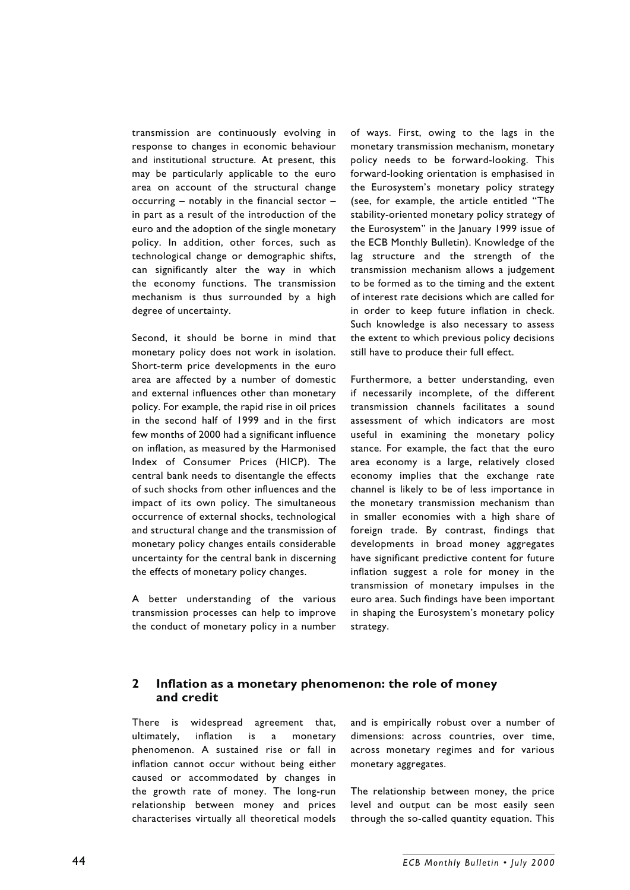transmission are continuously evolving in response to changes in economic behaviour and institutional structure. At present, this may be particularly applicable to the euro area on account of the structural change occurring  $-$  notably in the financial sector  $$ in part as a result of the introduction of the euro and the adoption of the single monetary policy. In addition, other forces, such as technological change or demographic shifts, can significantly alter the way in which the economy functions. The transmission mechanism is thus surrounded by a high degree of uncertainty.

Second, it should be borne in mind that monetary policy does not work in isolation. Short-term price developments in the euro area are affected by a number of domestic and external influences other than monetary policy. For example, the rapid rise in oil prices in the second half of 1999 and in the first few months of 2000 had a significant influence on inflation, as measured by the Harmonised Index of Consumer Prices (HICP). The central bank needs to disentangle the effects of such shocks from other influences and the impact of its own policy. The simultaneous occurrence of external shocks, technological and structural change and the transmission of monetary policy changes entails considerable uncertainty for the central bank in discerning the effects of monetary policy changes.

A better understanding of the various transmission processes can help to improve the conduct of monetary policy in a number of ways. First, owing to the lags in the monetary transmission mechanism, monetary policy needs to be forward-looking. This forward-looking orientation is emphasised in the Eurosystem's monetary policy strategy (see, for example, the article entitled "The stability-oriented monetary policy strategy of the Eurosystem" in the January 1999 issue of the ECB Monthly Bulletin). Knowledge of the lag structure and the strength of the transmission mechanism allows a judgement to be formed as to the timing and the extent of interest rate decisions which are called for in order to keep future inflation in check. Such knowledge is also necessary to assess the extent to which previous policy decisions still have to produce their full effect.

Furthermore, a better understanding, even if necessarily incomplete, of the different transmission channels facilitates a sound assessment of which indicators are most useful in examining the monetary policy stance. For example, the fact that the euro area economy is a large, relatively closed economy implies that the exchange rate channel is likely to be of less importance in the monetary transmission mechanism than in smaller economies with a high share of foreign trade. By contrast, findings that developments in broad money aggregates have significant predictive content for future inflation suggest a role for money in the transmission of monetary impulses in the euro area. Such findings have been important in shaping the Eurosystem's monetary policy strategy.

### **2 Inflation as a monetary phenomenon: the role of money and credit**

There is widespread agreement that, ultimately, inflation is a monetary phenomenon. A sustained rise or fall in inflation cannot occur without being either caused or accommodated by changes in the growth rate of money. The long-run relationship between money and prices characterises virtually all theoretical models and is empirically robust over a number of dimensions: across countries, over time, across monetary regimes and for various monetary aggregates.

The relationship between money, the price level and output can be most easily seen through the so-called quantity equation. This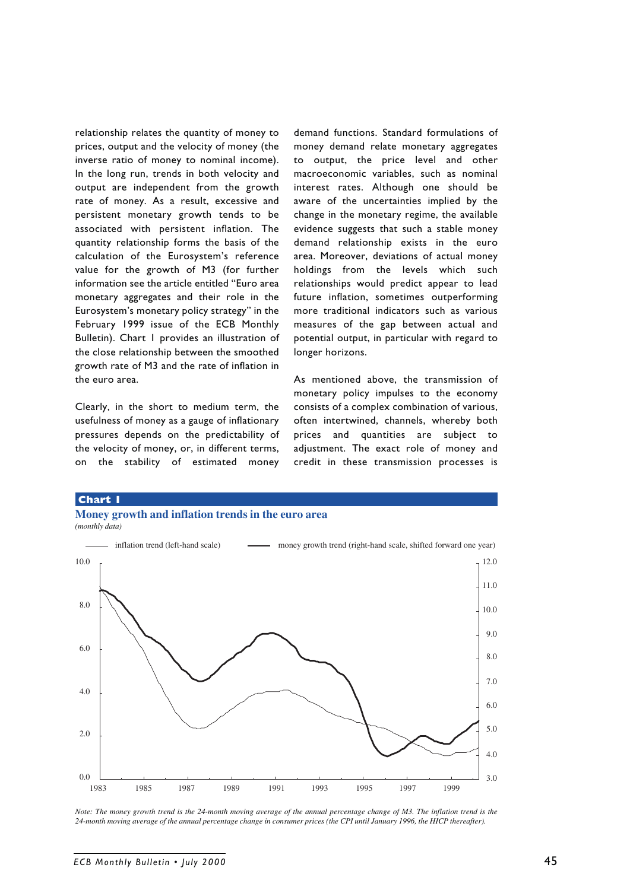relationship relates the quantity of money to prices, output and the velocity of money (the inverse ratio of money to nominal income). In the long run, trends in both velocity and output are independent from the growth rate of money. As a result, excessive and persistent monetary growth tends to be associated with persistent inflation. The quantity relationship forms the basis of the calculation of the Eurosystem's reference value for the growth of M3 (for further information see the article entitled "Euro area monetary aggregates and their role in the Eurosystem's monetary policy strategy" in the February 1999 issue of the ECB Monthly Bulletin). Chart 1 provides an illustration of the close relationship between the smoothed growth rate of M3 and the rate of inflation in the euro area.

Clearly, in the short to medium term, the usefulness of money as a gauge of inflationary pressures depends on the predictability of the velocity of money, or, in different terms, on the stability of estimated money

demand functions. Standard formulations of money demand relate monetary aggregates to output, the price level and other macroeconomic variables, such as nominal interest rates. Although one should be aware of the uncertainties implied by the change in the monetary regime, the available evidence suggests that such a stable money demand relationship exists in the euro area. Moreover, deviations of actual money holdings from the levels which such relationships would predict appear to lead future inflation, sometimes outperforming more traditional indicators such as various measures of the gap between actual and potential output, in particular with regard to longer horizons.

As mentioned above, the transmission of monetary policy impulses to the economy consists of a complex combination of various, often intertwined, channels, whereby both prices and quantities are subject to adjustment. The exact role of money and credit in these transmission processes is

#### **Chart 1**







*Note: The money growth trend is the 24-month moving average of the annual percentage change of M3. The inflation trend is the 24-month moving average of the annual percentage change in consumer prices (the CPI until January 1996, the HICP thereafter).*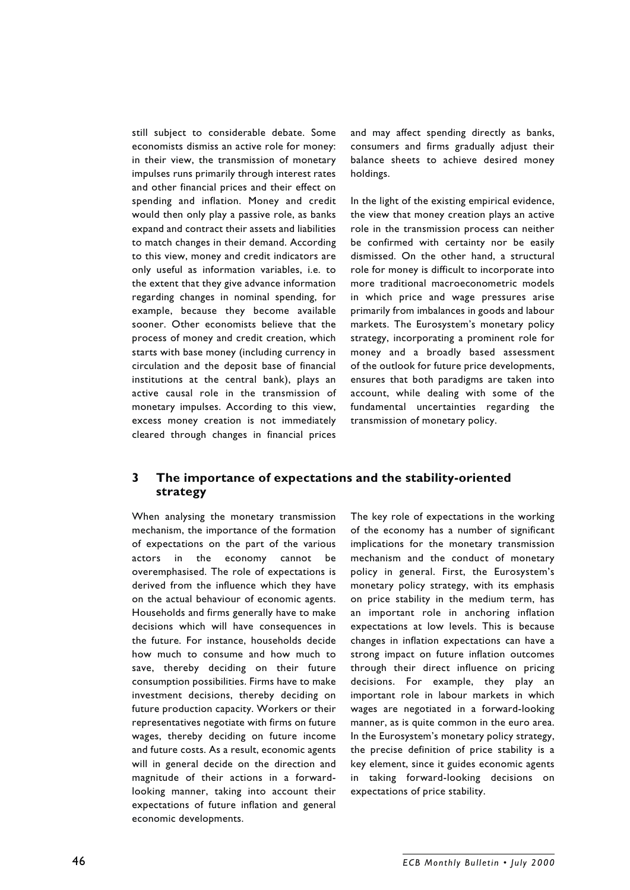still subject to considerable debate. Some economists dismiss an active role for money: in their view, the transmission of monetary impulses runs primarily through interest rates and other financial prices and their effect on spending and inflation. Money and credit would then only play a passive role, as banks expand and contract their assets and liabilities to match changes in their demand. According to this view, money and credit indicators are only useful as information variables, i.e. to the extent that they give advance information regarding changes in nominal spending, for example, because they become available sooner. Other economists believe that the process of money and credit creation, which starts with base money (including currency in circulation and the deposit base of financial institutions at the central bank), plays an active causal role in the transmission of monetary impulses. According to this view, excess money creation is not immediately cleared through changes in financial prices

and may affect spending directly as banks, consumers and firms gradually adjust their balance sheets to achieve desired money holdings.

In the light of the existing empirical evidence, the view that money creation plays an active role in the transmission process can neither be confirmed with certainty nor be easily dismissed. On the other hand, a structural role for money is difficult to incorporate into more traditional macroeconometric models in which price and wage pressures arise primarily from imbalances in goods and labour markets. The Eurosystem's monetary policy strategy, incorporating a prominent role for money and a broadly based assessment of the outlook for future price developments, ensures that both paradigms are taken into account, while dealing with some of the fundamental uncertainties regarding the transmission of monetary policy.

### **3 The importance of expectations and the stability-oriented strategy**

When analysing the monetary transmission mechanism, the importance of the formation of expectations on the part of the various actors in the economy cannot be overemphasised. The role of expectations is derived from the influence which they have on the actual behaviour of economic agents. Households and firms generally have to make decisions which will have consequences in the future. For instance, households decide how much to consume and how much to save, thereby deciding on their future consumption possibilities. Firms have to make investment decisions, thereby deciding on future production capacity. Workers or their representatives negotiate with firms on future wages, thereby deciding on future income and future costs. As a result, economic agents will in general decide on the direction and magnitude of their actions in a forwardlooking manner, taking into account their expectations of future inflation and general economic developments.

The key role of expectations in the working of the economy has a number of significant implications for the monetary transmission mechanism and the conduct of monetary policy in general. First, the Eurosystem's monetary policy strategy, with its emphasis on price stability in the medium term, has an important role in anchoring inflation expectations at low levels. This is because changes in inflation expectations can have a strong impact on future inflation outcomes through their direct influence on pricing decisions. For example, they play an important role in labour markets in which wages are negotiated in a forward-looking manner, as is quite common in the euro area. In the Eurosystem's monetary policy strategy, the precise definition of price stability is a key element, since it guides economic agents in taking forward-looking decisions on expectations of price stability.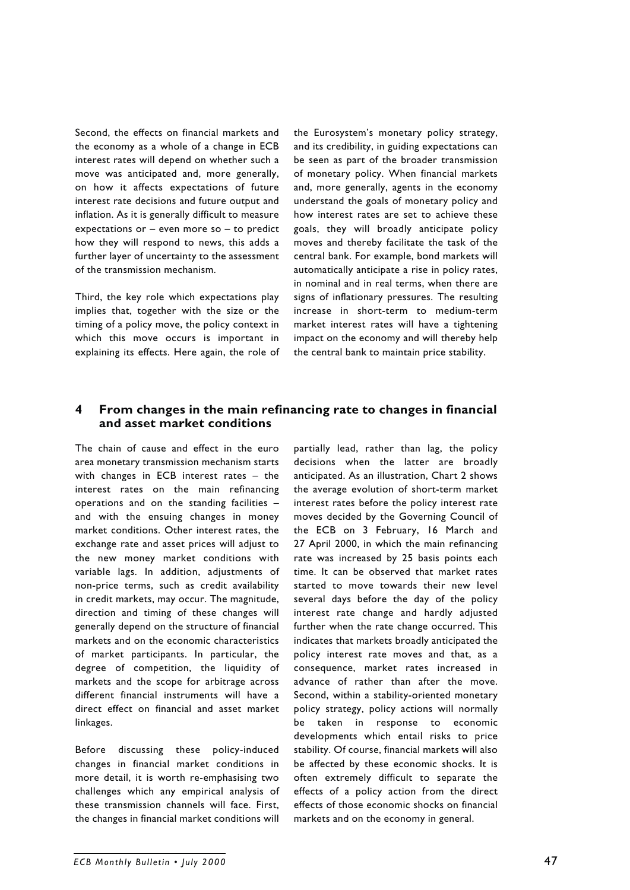Second, the effects on financial markets and the economy as a whole of a change in ECB interest rates will depend on whether such a move was anticipated and, more generally, on how it affects expectations of future interest rate decisions and future output and inflation. As it is generally difficult to measure expectations or – even more so – to predict how they will respond to news, this adds a further layer of uncertainty to the assessment of the transmission mechanism.

Third, the key role which expectations play implies that, together with the size or the timing of a policy move, the policy context in which this move occurs is important in explaining its effects. Here again, the role of the Eurosystem's monetary policy strategy, and its credibility, in guiding expectations can be seen as part of the broader transmission of monetary policy. When financial markets and, more generally, agents in the economy understand the goals of monetary policy and how interest rates are set to achieve these goals, they will broadly anticipate policy moves and thereby facilitate the task of the central bank. For example, bond markets will automatically anticipate a rise in policy rates, in nominal and in real terms, when there are signs of inflationary pressures. The resulting increase in short-term to medium-term market interest rates will have a tightening impact on the economy and will thereby help the central bank to maintain price stability.

### **4 From changes in the main refinancing rate to changes in financial and asset market conditions**

The chain of cause and effect in the euro area monetary transmission mechanism starts with changes in ECB interest rates – the interest rates on the main refinancing operations and on the standing facilities – and with the ensuing changes in money market conditions. Other interest rates, the exchange rate and asset prices will adjust to the new money market conditions with variable lags. In addition, adjustments of non-price terms, such as credit availability in credit markets, may occur. The magnitude, direction and timing of these changes will generally depend on the structure of financial markets and on the economic characteristics of market participants. In particular, the degree of competition, the liquidity of markets and the scope for arbitrage across different financial instruments will have a direct effect on financial and asset market linkages.

Before discussing these policy-induced changes in financial market conditions in more detail, it is worth re-emphasising two challenges which any empirical analysis of these transmission channels will face. First, the changes in financial market conditions will

partially lead, rather than lag, the policy decisions when the latter are broadly anticipated. As an illustration, Chart 2 shows the average evolution of short-term market interest rates before the policy interest rate moves decided by the Governing Council of the ECB on 3 February, 16 March and 27 April 2000, in which the main refinancing rate was increased by 25 basis points each time. It can be observed that market rates started to move towards their new level several days before the day of the policy interest rate change and hardly adjusted further when the rate change occurred. This indicates that markets broadly anticipated the policy interest rate moves and that, as a consequence, market rates increased in advance of rather than after the move. Second, within a stability-oriented monetary policy strategy, policy actions will normally be taken in response to economic developments which entail risks to price stability. Of course, financial markets will also be affected by these economic shocks. It is often extremely difficult to separate the effects of a policy action from the direct effects of those economic shocks on financial markets and on the economy in general.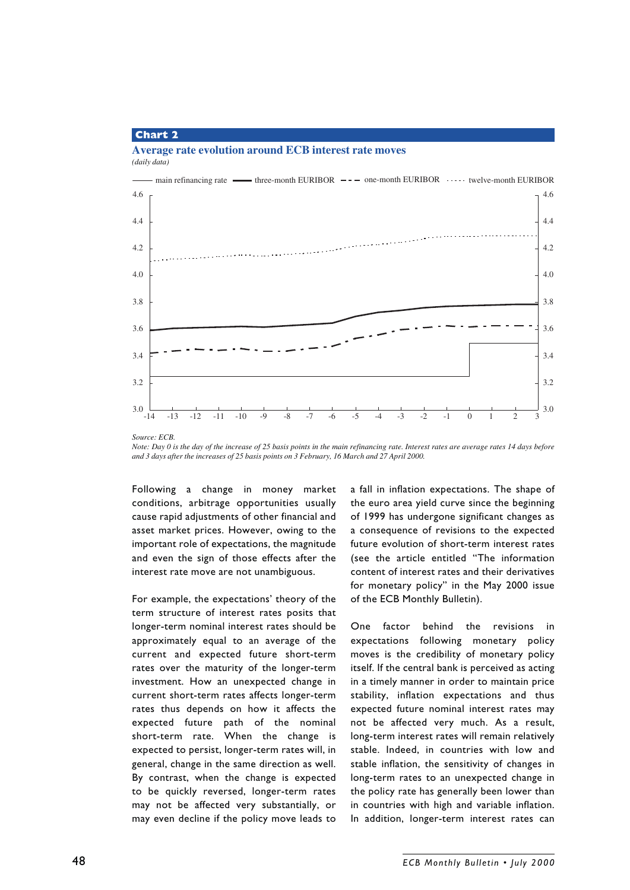#### **Chart 2**

#### **Average rate evolution around ECB interest rate moves** *(daily data)*



*Note: Day 0 is the day of the increase of 25 basis points in the main refinancing rate. Interest rates are average rates 14 days before and 3 days after the increases of 25 basis points on 3 February, 16 March and 27 April 2000.*

Following a change in money market conditions, arbitrage opportunities usually cause rapid adjustments of other financial and asset market prices. However, owing to the important role of expectations, the magnitude and even the sign of those effects after the interest rate move are not unambiguous.

For example, the expectations' theory of the term structure of interest rates posits that longer-term nominal interest rates should be approximately equal to an average of the current and expected future short-term rates over the maturity of the longer-term investment. How an unexpected change in current short-term rates affects longer-term rates thus depends on how it affects the expected future path of the nominal short-term rate. When the change is expected to persist, longer-term rates will, in general, change in the same direction as well. By contrast, when the change is expected to be quickly reversed, longer-term rates may not be affected very substantially, or may even decline if the policy move leads to a fall in inflation expectations. The shape of the euro area yield curve since the beginning of 1999 has undergone significant changes as a consequence of revisions to the expected future evolution of short-term interest rates (see the article entitled "The information content of interest rates and their derivatives for monetary policy" in the May 2000 issue of the ECB Monthly Bulletin).

One factor behind the revisions in expectations following monetary policy moves is the credibility of monetary policy itself. If the central bank is perceived as acting in a timely manner in order to maintain price stability, inflation expectations and thus expected future nominal interest rates may not be affected very much. As a result, long-term interest rates will remain relatively stable. Indeed, in countries with low and stable inflation, the sensitivity of changes in long-term rates to an unexpected change in the policy rate has generally been lower than in countries with high and variable inflation. In addition, longer-term interest rates can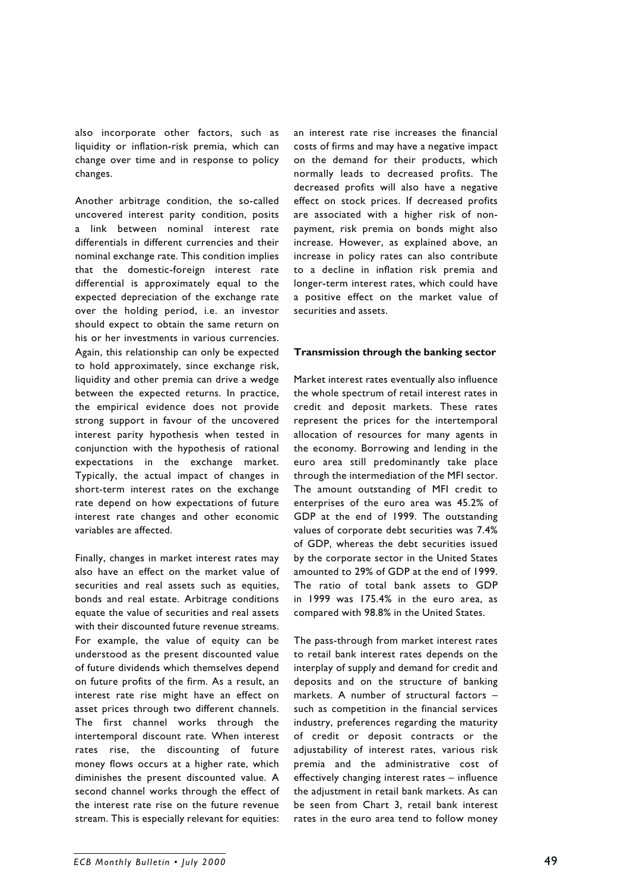also incorporate other factors, such as liquidity or inflation-risk premia, which can change over time and in response to policy changes.

Another arbitrage condition, the so-called uncovered interest parity condition, posits a link between nominal interest rate differentials in different currencies and their nominal exchange rate. This condition implies that the domestic-foreign interest rate differential is approximately equal to the expected depreciation of the exchange rate over the holding period, i.e. an investor should expect to obtain the same return on his or her investments in various currencies. Again, this relationship can only be expected to hold approximately, since exchange risk, liquidity and other premia can drive a wedge between the expected returns. In practice, the empirical evidence does not provide strong support in favour of the uncovered interest parity hypothesis when tested in conjunction with the hypothesis of rational expectations in the exchange market. Typically, the actual impact of changes in short-term interest rates on the exchange rate depend on how expectations of future interest rate changes and other economic variables are affected.

Finally, changes in market interest rates may also have an effect on the market value of securities and real assets such as equities, bonds and real estate. Arbitrage conditions equate the value of securities and real assets with their discounted future revenue streams. For example, the value of equity can be understood as the present discounted value of future dividends which themselves depend on future profits of the firm. As a result, an interest rate rise might have an effect on asset prices through two different channels. The first channel works through the intertemporal discount rate. When interest rates rise, the discounting of future money flows occurs at a higher rate, which diminishes the present discounted value. A second channel works through the effect of the interest rate rise on the future revenue stream. This is especially relevant for equities: an interest rate rise increases the financial costs of firms and may have a negative impact on the demand for their products, which normally leads to decreased profits. The decreased profits will also have a negative effect on stock prices. If decreased profits are associated with a higher risk of nonpayment, risk premia on bonds might also increase. However, as explained above, an increase in policy rates can also contribute to a decline in inflation risk premia and longer-term interest rates, which could have a positive effect on the market value of securities and assets.

#### **Transmission through the banking sector**

Market interest rates eventually also influence the whole spectrum of retail interest rates in credit and deposit markets. These rates represent the prices for the intertemporal allocation of resources for many agents in the economy. Borrowing and lending in the euro area still predominantly take place through the intermediation of the MFI sector. The amount outstanding of MFI credit to enterprises of the euro area was 45.2% of GDP at the end of 1999. The outstanding values of corporate debt securities was 7.4% of GDP, whereas the debt securities issued by the corporate sector in the United States amounted to 29% of GDP at the end of 1999. The ratio of total bank assets to GDP in 1999 was 175.4% in the euro area, as compared with 98.8% in the United States.

The pass-through from market interest rates to retail bank interest rates depends on the interplay of supply and demand for credit and deposits and on the structure of banking markets. A number of structural factors – such as competition in the financial services industry, preferences regarding the maturity of credit or deposit contracts or the adjustability of interest rates, various risk premia and the administrative cost of effectively changing interest rates – influence the adjustment in retail bank markets. As can be seen from Chart 3, retail bank interest rates in the euro area tend to follow money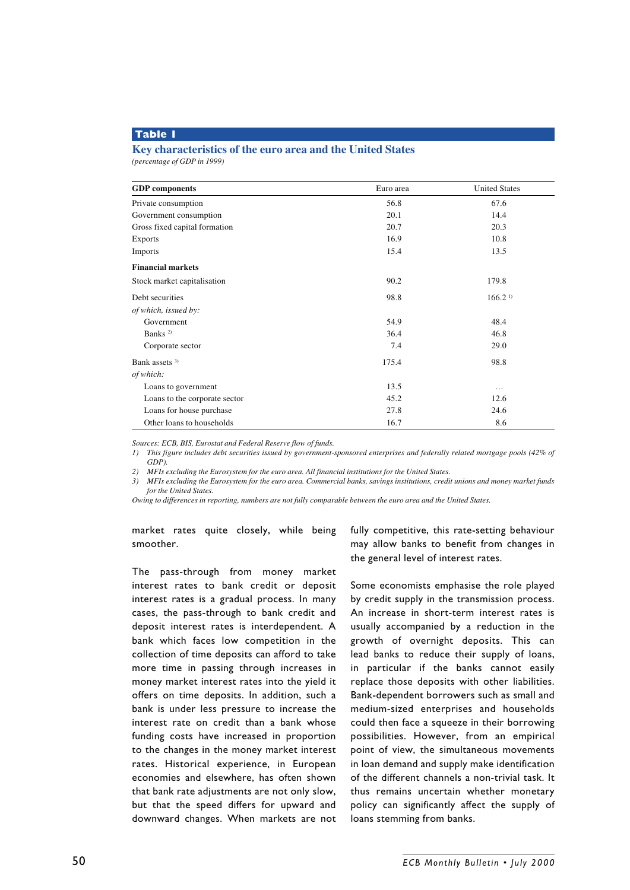### **Table 1**

#### **Key characteristics of the euro area and the United States**

*(percentage of GDP in 1999)*

| <b>GDP</b> components         | Euro area | <b>United States</b> |
|-------------------------------|-----------|----------------------|
| Private consumption           | 56.8      | 67.6                 |
| Government consumption        | 20.1      | 14.4                 |
| Gross fixed capital formation | 20.7      | 20.3                 |
| <b>Exports</b>                | 16.9      | 10.8                 |
| Imports                       | 15.4      | 13.5                 |
| <b>Financial markets</b>      |           |                      |
| Stock market capitalisation   | 90.2      | 179.8                |
| Debt securities               | 98.8      | 166.2 <sup>1</sup>   |
| of which, issued by:          |           |                      |
| Government                    | 54.9      | 48.4                 |
| Banks <sup>2)</sup>           | 36.4      | 46.8                 |
| Corporate sector              | 7.4       | 29.0                 |
| Bank assets <sup>3)</sup>     | 175.4     | 98.8                 |
| of which:                     |           |                      |
| Loans to government           | 13.5      | $\cdots$             |
| Loans to the corporate sector | 45.2      | 12.6                 |
| Loans for house purchase      | 27.8      | 24.6                 |
| Other loans to households     | 16.7      | 8.6                  |

*Sources: ECB, BIS, Eurostat and Federal Reserve flow of funds.*

*1) This figure includes debt securities issued by government-sponsored enterprises and federally related mortgage pools (42% of GDP).*

*2) MFIs excluding the Eurosystem for the euro area. All financial institutions for the United States.*

*3) MFIs excluding the Eurosystem for the euro area. Commercial banks, savings institutions, credit unions and money market funds for the United States.*

*Owing to differences in reporting, numbers are not fully comparable between the euro area and the United States.*

market rates quite closely, while being smoother.

The pass-through from money market interest rates to bank credit or deposit interest rates is a gradual process. In many cases, the pass-through to bank credit and deposit interest rates is interdependent. A bank which faces low competition in the collection of time deposits can afford to take more time in passing through increases in money market interest rates into the yield it offers on time deposits. In addition, such a bank is under less pressure to increase the interest rate on credit than a bank whose funding costs have increased in proportion to the changes in the money market interest rates. Historical experience, in European economies and elsewhere, has often shown that bank rate adjustments are not only slow, but that the speed differs for upward and downward changes. When markets are not fully competitive, this rate-setting behaviour may allow banks to benefit from changes in the general level of interest rates.

Some economists emphasise the role played by credit supply in the transmission process. An increase in short-term interest rates is usually accompanied by a reduction in the growth of overnight deposits. This can lead banks to reduce their supply of loans, in particular if the banks cannot easily replace those deposits with other liabilities. Bank-dependent borrowers such as small and medium-sized enterprises and households could then face a squeeze in their borrowing possibilities. However, from an empirical point of view, the simultaneous movements in loan demand and supply make identification of the different channels a non-trivial task. It thus remains uncertain whether monetary policy can significantly affect the supply of loans stemming from banks.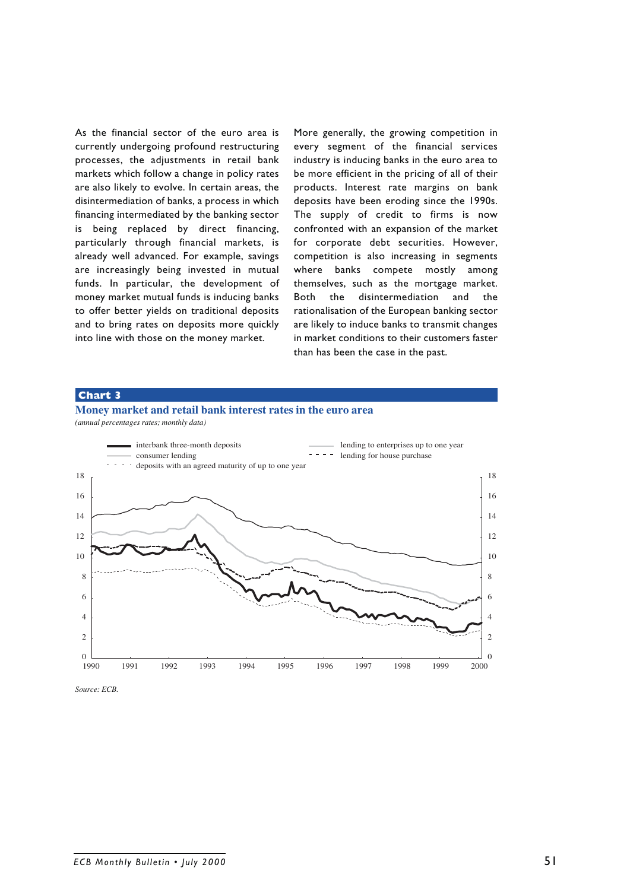As the financial sector of the euro area is currently undergoing profound restructuring processes, the adjustments in retail bank markets which follow a change in policy rates are also likely to evolve. In certain areas, the disintermediation of banks, a process in which financing intermediated by the banking sector is being replaced by direct financing, particularly through financial markets, is already well advanced. For example, savings are increasingly being invested in mutual funds. In particular, the development of money market mutual funds is inducing banks to offer better yields on traditional deposits and to bring rates on deposits more quickly into line with those on the money market.

More generally, the growing competition in every segment of the financial services industry is inducing banks in the euro area to be more efficient in the pricing of all of their products. Interest rate margins on bank deposits have been eroding since the 1990s. The supply of credit to firms is now confronted with an expansion of the market for corporate debt securities. However, competition is also increasing in segments where banks compete mostly among themselves, such as the mortgage market. Both the disintermediation and the rationalisation of the European banking sector are likely to induce banks to transmit changes in market conditions to their customers faster than has been the case in the past.

#### **Chart 3**





*Source: ECB.*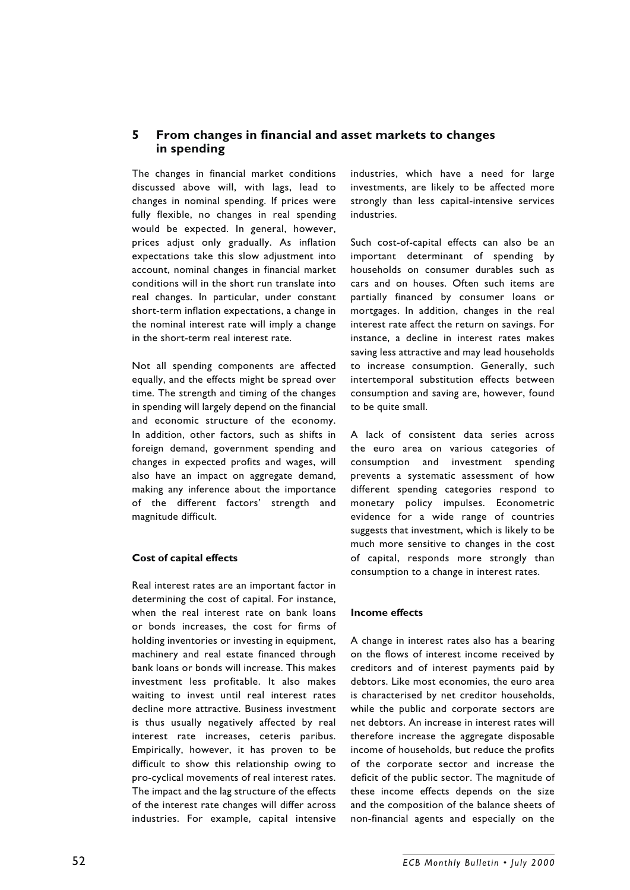# **5 From changes in financial and asset markets to changes in spending**

The changes in financial market conditions discussed above will, with lags, lead to changes in nominal spending. If prices were fully flexible, no changes in real spending would be expected. In general, however, prices adjust only gradually. As inflation expectations take this slow adjustment into account, nominal changes in financial market conditions will in the short run translate into real changes. In particular, under constant short-term inflation expectations, a change in the nominal interest rate will imply a change in the short-term real interest rate.

Not all spending components are affected equally, and the effects might be spread over time. The strength and timing of the changes in spending will largely depend on the financial and economic structure of the economy. In addition, other factors, such as shifts in foreign demand, government spending and changes in expected profits and wages, will also have an impact on aggregate demand, making any inference about the importance of the different factors' strength and magnitude difficult.

#### **Cost of capital effects**

Real interest rates are an important factor in determining the cost of capital. For instance, when the real interest rate on bank loans or bonds increases, the cost for firms of holding inventories or investing in equipment, machinery and real estate financed through bank loans or bonds will increase. This makes investment less profitable. It also makes waiting to invest until real interest rates decline more attractive. Business investment is thus usually negatively affected by real interest rate increases, ceteris paribus. Empirically, however, it has proven to be difficult to show this relationship owing to pro-cyclical movements of real interest rates. The impact and the lag structure of the effects of the interest rate changes will differ across industries. For example, capital intensive

industries, which have a need for large investments, are likely to be affected more strongly than less capital-intensive services industries.

Such cost-of-capital effects can also be an important determinant of spending by households on consumer durables such as cars and on houses. Often such items are partially financed by consumer loans or mortgages. In addition, changes in the real interest rate affect the return on savings. For instance, a decline in interest rates makes saving less attractive and may lead households to increase consumption. Generally, such intertemporal substitution effects between consumption and saving are, however, found to be quite small.

A lack of consistent data series across the euro area on various categories of consumption and investment spending prevents a systematic assessment of how different spending categories respond to monetary policy impulses. Econometric evidence for a wide range of countries suggests that investment, which is likely to be much more sensitive to changes in the cost of capital, responds more strongly than consumption to a change in interest rates.

#### **Income effects**

A change in interest rates also has a bearing on the flows of interest income received by creditors and of interest payments paid by debtors. Like most economies, the euro area is characterised by net creditor households, while the public and corporate sectors are net debtors. An increase in interest rates will therefore increase the aggregate disposable income of households, but reduce the profits of the corporate sector and increase the deficit of the public sector. The magnitude of these income effects depends on the size and the composition of the balance sheets of non-financial agents and especially on the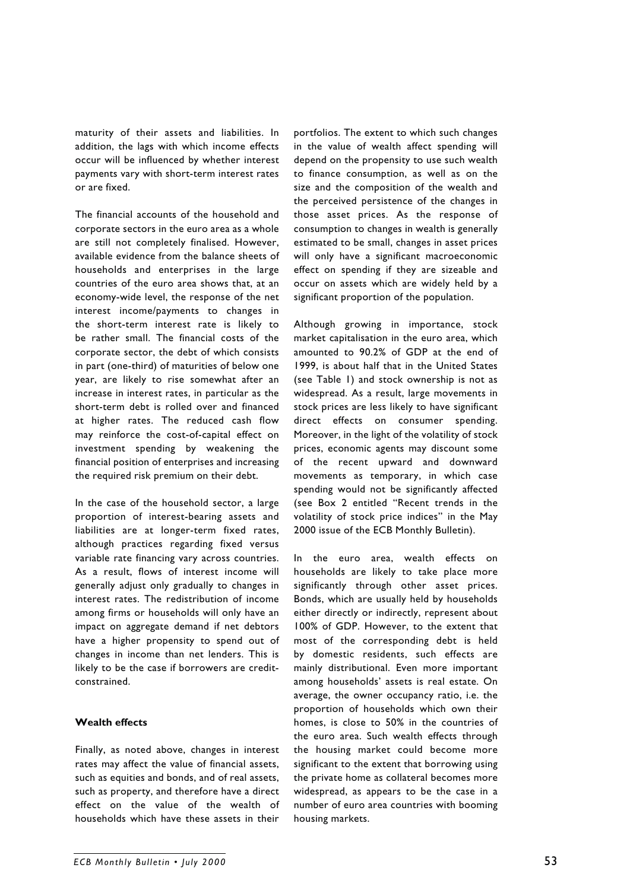maturity of their assets and liabilities. In addition, the lags with which income effects occur will be influenced by whether interest payments vary with short-term interest rates or are fixed.

The financial accounts of the household and corporate sectors in the euro area as a whole are still not completely finalised. However, available evidence from the balance sheets of households and enterprises in the large countries of the euro area shows that, at an economy-wide level, the response of the net interest income/payments to changes in the short-term interest rate is likely to be rather small. The financial costs of the corporate sector, the debt of which consists in part (one-third) of maturities of below one year, are likely to rise somewhat after an increase in interest rates, in particular as the short-term debt is rolled over and financed at higher rates. The reduced cash flow may reinforce the cost-of-capital effect on investment spending by weakening the financial position of enterprises and increasing the required risk premium on their debt.

In the case of the household sector, a large proportion of interest-bearing assets and liabilities are at longer-term fixed rates, although practices regarding fixed versus variable rate financing vary across countries. As a result, flows of interest income will generally adjust only gradually to changes in interest rates. The redistribution of income among firms or households will only have an impact on aggregate demand if net debtors have a higher propensity to spend out of changes in income than net lenders. This is likely to be the case if borrowers are creditconstrained.

### **Wealth effects**

Finally, as noted above, changes in interest rates may affect the value of financial assets, such as equities and bonds, and of real assets, such as property, and therefore have a direct effect on the value of the wealth of households which have these assets in their

portfolios. The extent to which such changes in the value of wealth affect spending will depend on the propensity to use such wealth to finance consumption, as well as on the size and the composition of the wealth and the perceived persistence of the changes in those asset prices. As the response of consumption to changes in wealth is generally estimated to be small, changes in asset prices will only have a significant macroeconomic effect on spending if they are sizeable and occur on assets which are widely held by a significant proportion of the population.

Although growing in importance, stock market capitalisation in the euro area, which amounted to 90.2% of GDP at the end of 1999, is about half that in the United States (see Table 1) and stock ownership is not as widespread. As a result, large movements in stock prices are less likely to have significant direct effects on consumer spending. Moreover, in the light of the volatility of stock prices, economic agents may discount some of the recent upward and downward movements as temporary, in which case spending would not be significantly affected (see Box 2 entitled "Recent trends in the volatility of stock price indices" in the May 2000 issue of the ECB Monthly Bulletin).

In the euro area, wealth effects on households are likely to take place more significantly through other asset prices. Bonds, which are usually held by households either directly or indirectly, represent about 100% of GDP. However, to the extent that most of the corresponding debt is held by domestic residents, such effects are mainly distributional. Even more important among households' assets is real estate. On average, the owner occupancy ratio, i.e. the proportion of households which own their homes, is close to 50% in the countries of the euro area. Such wealth effects through the housing market could become more significant to the extent that borrowing using the private home as collateral becomes more widespread, as appears to be the case in a number of euro area countries with booming housing markets.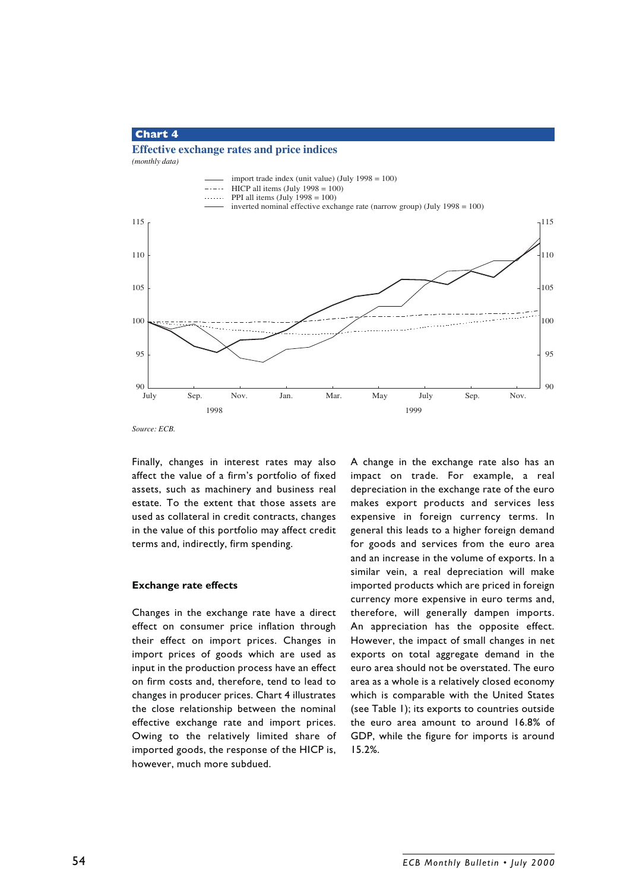### **Chart 4**

# **Effective exchange rates and price indices**

*(monthly data)*



Finally, changes in interest rates may also affect the value of a firm's portfolio of fixed assets, such as machinery and business real estate. To the extent that those assets are used as collateral in credit contracts, changes in the value of this portfolio may affect credit terms and, indirectly, firm spending.

#### **Exchange rate effects**

Changes in the exchange rate have a direct effect on consumer price inflation through their effect on import prices. Changes in import prices of goods which are used as input in the production process have an effect on firm costs and, therefore, tend to lead to changes in producer prices. Chart 4 illustrates the close relationship between the nominal effective exchange rate and import prices. Owing to the relatively limited share of imported goods, the response of the HICP is, however, much more subdued.

A change in the exchange rate also has an impact on trade. For example, a real depreciation in the exchange rate of the euro makes export products and services less expensive in foreign currency terms. In general this leads to a higher foreign demand for goods and services from the euro area and an increase in the volume of exports. In a similar vein, a real depreciation will make imported products which are priced in foreign currency more expensive in euro terms and, therefore, will generally dampen imports. An appreciation has the opposite effect. However, the impact of small changes in net exports on total aggregate demand in the euro area should not be overstated. The euro area as a whole is a relatively closed economy which is comparable with the United States (see Table 1); its exports to countries outside the euro area amount to around 16.8% of GDP, while the figure for imports is around 15.2%.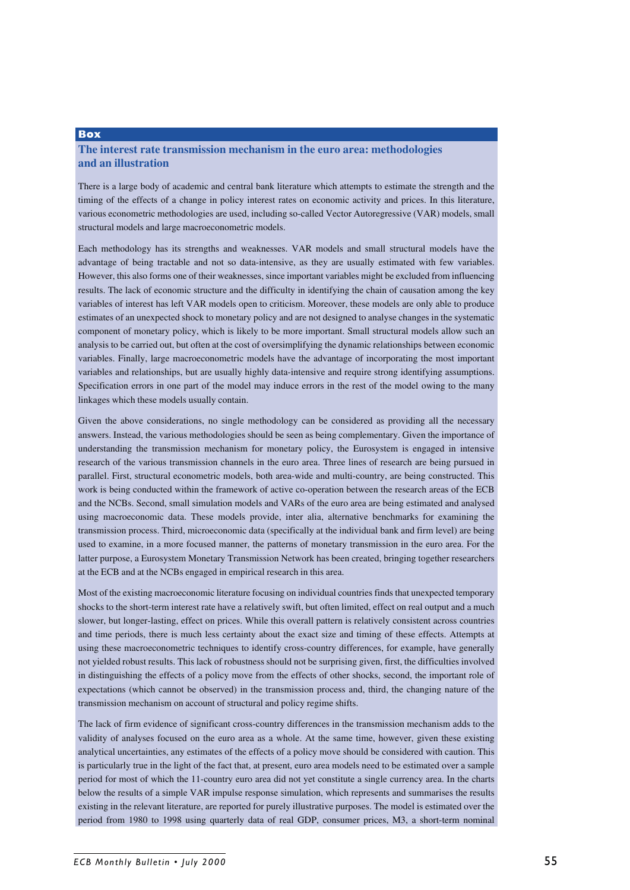## **The interest rate transmission mechanism in the euro area: methodologies and an illustration**

**Box**

There is a large body of academic and central bank literature which attempts to estimate the strength and the timing of the effects of a change in policy interest rates on economic activity and prices. In this literature, various econometric methodologies are used, including so-called Vector Autoregressive (VAR) models, small structural models and large macroeconometric models.

Each methodology has its strengths and weaknesses. VAR models and small structural models have the advantage of being tractable and not so data-intensive, as they are usually estimated with few variables. However, this also forms one of their weaknesses, since important variables might be excluded from influencing results. The lack of economic structure and the difficulty in identifying the chain of causation among the key variables of interest has left VAR models open to criticism. Moreover, these models are only able to produce estimates of an unexpected shock to monetary policy and are not designed to analyse changes in the systematic component of monetary policy, which is likely to be more important. Small structural models allow such an analysis to be carried out, but often at the cost of oversimplifying the dynamic relationships between economic variables. Finally, large macroeconometric models have the advantage of incorporating the most important variables and relationships, but are usually highly data-intensive and require strong identifying assumptions. Specification errors in one part of the model may induce errors in the rest of the model owing to the many linkages which these models usually contain.

Given the above considerations, no single methodology can be considered as providing all the necessary answers. Instead, the various methodologies should be seen as being complementary. Given the importance of understanding the transmission mechanism for monetary policy, the Eurosystem is engaged in intensive research of the various transmission channels in the euro area. Three lines of research are being pursued in parallel. First, structural econometric models, both area-wide and multi-country, are being constructed. This work is being conducted within the framework of active co-operation between the research areas of the ECB and the NCBs. Second, small simulation models and VARs of the euro area are being estimated and analysed using macroeconomic data. These models provide, inter alia, alternative benchmarks for examining the transmission process. Third, microeconomic data (specifically at the individual bank and firm level) are being used to examine, in a more focused manner, the patterns of monetary transmission in the euro area. For the latter purpose, a Eurosystem Monetary Transmission Network has been created, bringing together researchers at the ECB and at the NCBs engaged in empirical research in this area.

Most of the existing macroeconomic literature focusing on individual countries finds that unexpected temporary shocks to the short-term interest rate have a relatively swift, but often limited, effect on real output and a much slower, but longer-lasting, effect on prices. While this overall pattern is relatively consistent across countries and time periods, there is much less certainty about the exact size and timing of these effects. Attempts at using these macroeconometric techniques to identify cross-country differences, for example, have generally not yielded robust results. This lack of robustness should not be surprising given, first, the difficulties involved in distinguishing the effects of a policy move from the effects of other shocks, second, the important role of expectations (which cannot be observed) in the transmission process and, third, the changing nature of the transmission mechanism on account of structural and policy regime shifts.

The lack of firm evidence of significant cross-country differences in the transmission mechanism adds to the validity of analyses focused on the euro area as a whole. At the same time, however, given these existing analytical uncertainties, any estimates of the effects of a policy move should be considered with caution. This is particularly true in the light of the fact that, at present, euro area models need to be estimated over a sample period for most of which the 11-country euro area did not yet constitute a single currency area. In the charts below the results of a simple VAR impulse response simulation, which represents and summarises the results existing in the relevant literature, are reported for purely illustrative purposes. The model is estimated over the period from 1980 to 1998 using quarterly data of real GDP, consumer prices, M3, a short-term nominal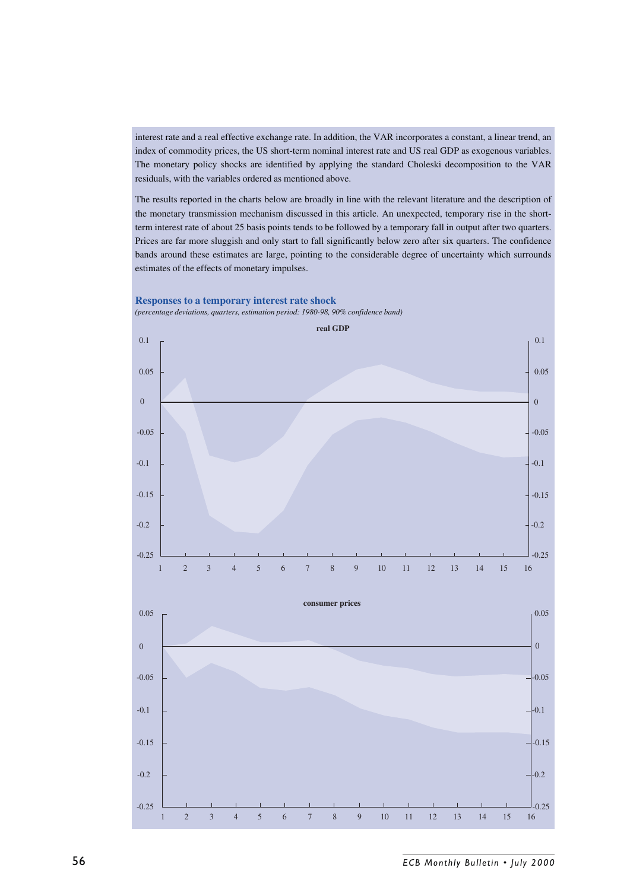interest rate and a real effective exchange rate. In addition, the VAR incorporates a constant, a linear trend, an index of commodity prices, the US short-term nominal interest rate and US real GDP as exogenous variables. The monetary policy shocks are identified by applying the standard Choleski decomposition to the VAR residuals, with the variables ordered as mentioned above.

The results reported in the charts below are broadly in line with the relevant literature and the description of the monetary transmission mechanism discussed in this article. An unexpected, temporary rise in the shortterm interest rate of about 25 basis points tends to be followed by a temporary fall in output after two quarters. Prices are far more sluggish and only start to fall significantly below zero after six quarters. The confidence bands around these estimates are large, pointing to the considerable degree of uncertainty which surrounds estimates of the effects of monetary impulses.



56 *ECB Monthly Bulletin • July 2000*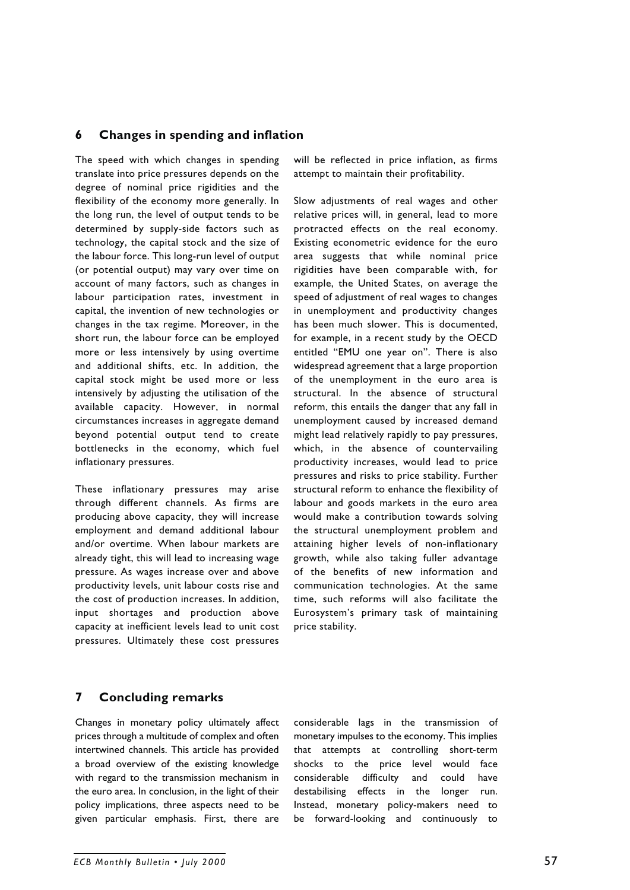### **6 Changes in spending and inflation**

The speed with which changes in spending translate into price pressures depends on the degree of nominal price rigidities and the flexibility of the economy more generally. In the long run, the level of output tends to be determined by supply-side factors such as technology, the capital stock and the size of the labour force. This long-run level of output (or potential output) may vary over time on account of many factors, such as changes in labour participation rates, investment in capital, the invention of new technologies or changes in the tax regime. Moreover, in the short run, the labour force can be employed more or less intensively by using overtime and additional shifts, etc. In addition, the capital stock might be used more or less intensively by adjusting the utilisation of the available capacity. However, in normal circumstances increases in aggregate demand beyond potential output tend to create bottlenecks in the economy, which fuel inflationary pressures.

These inflationary pressures may arise through different channels. As firms are producing above capacity, they will increase employment and demand additional labour and/or overtime. When labour markets are already tight, this will lead to increasing wage pressure. As wages increase over and above productivity levels, unit labour costs rise and the cost of production increases. In addition, input shortages and production above capacity at inefficient levels lead to unit cost pressures. Ultimately these cost pressures will be reflected in price inflation, as firms attempt to maintain their profitability.

Slow adjustments of real wages and other relative prices will, in general, lead to more protracted effects on the real economy. Existing econometric evidence for the euro area suggests that while nominal price rigidities have been comparable with, for example, the United States, on average the speed of adjustment of real wages to changes in unemployment and productivity changes has been much slower. This is documented, for example, in a recent study by the OECD entitled "EMU one year on". There is also widespread agreement that a large proportion of the unemployment in the euro area is structural. In the absence of structural reform, this entails the danger that any fall in unemployment caused by increased demand might lead relatively rapidly to pay pressures, which, in the absence of countervailing productivity increases, would lead to price pressures and risks to price stability. Further structural reform to enhance the flexibility of labour and goods markets in the euro area would make a contribution towards solving the structural unemployment problem and attaining higher levels of non-inflationary growth, while also taking fuller advantage of the benefits of new information and communication technologies. At the same time, such reforms will also facilitate the Eurosystem's primary task of maintaining price stability.

# **7 Concluding remarks**

Changes in monetary policy ultimately affect prices through a multitude of complex and often intertwined channels. This article has provided a broad overview of the existing knowledge with regard to the transmission mechanism in the euro area. In conclusion, in the light of their policy implications, three aspects need to be given particular emphasis. First, there are considerable lags in the transmission of monetary impulses to the economy. This implies that attempts at controlling short-term shocks to the price level would face considerable difficulty and could have destabilising effects in the longer run. Instead, monetary policy-makers need to be forward-looking and continuously to